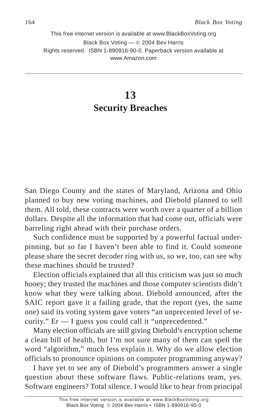Black Box Voting — © 2004 Bev Harris Rights reserved. ISBN 1-890916-90-0. Paperback version available at www.Amazon.com This free internet version is available at www.BlackBoxVoting.org

# **13 Security Breaches**

San Diego County and the states of Maryland, Arizona and Ohio planned to buy new voting machines, and Diebold planned to sell them. All told, these contracts were worth over a quarter of a billion dollars. Despite all the information that had come out, officials were barreling right ahead with their purchase orders.

Such confidence must be supported by a powerful factual underpinning, but so far I haven't been able to find it. Could someone please share the secret decoder ring with us, so we, too, can see why these machines should be trusted?

Election officials explained that all this criticism was just so much hooey; they trusted the machines and those computer scientists didn't know what they were talking about. Diebold announced, after the SAIC report gave it a failing grade, that the report (yes, the same one) said its voting system gave voters "an unprecented level of security." Er — I guess you could call it "unprecedented."

Many election officials are still giving Diebold's encryption scheme a clean bill of health, but I'm not sure many of them can spell the word "algorithm," much less explain it. Why do we allow election officials to pronounce opinions on computer programming anyway?

I have yet to see any of Diebold's programmers answer a single question about these software flaws. Public-relations team, yes. Software engineers? Total silence. I would like to hear from principal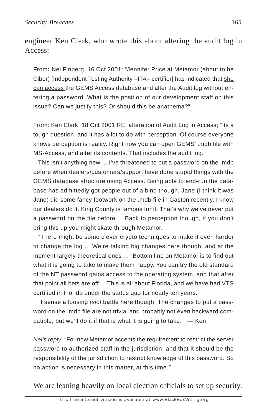engineer Ken Clark, who wrote this about altering the audit log in Access:

From**:** Nel Finberg, 16 Oct 2001: "Jennifer Price at Metamor (about to be Ciber) [Independent Testing Authority –ITA– certifier] has indicated that she can access the GEMS Access database and alter the Audit log without entering a password. What is the position of our development staff on this issue? Can we justify this? Or should this be anathema?"

From: Ken Clark, 18 Oct 2001 RE: alteration of Audit Log in Access; "Its a tough question, and it has a lot to do with perception. Of course everyone knows perception is reality. Right now you can open GEMS' .mdb file with MS-Access, and alter its contents. That includes the audit log.

 This isn't anything new ... I've threatened to put a password on the .mdb before when dealers/customers/support have done stupid things with the GEMS database structure using Access. Being able to end-run the database has admittedly got people out of a bind though. Jane (I think it was Jane) did some fancy footwork on the .mdb file in Gaston recently. I know our dealers do it. King County is famous for it. That's why we've never put a password on the file before ... Back to perception though, if you don't bring this up you might skate through Metamor.

 "There might be some clever crypto techniques to make it even harder to change the log ... We're talking big changes here though, and at the moment largely theoretical ones ... "Bottom line on Metamor is to find out what it is going to take to make them happy. You can try the old standard of the NT password gains access to the operating system, and that after that point all bets are off ... This is all about Florida, and we have had VTS certified in Florida under the status quo for nearly ten years.

 "I sense a loosing [sic] battle here though. The changes to put a password on the .mdb file are not trivial and probably not even backward compatible, but we'll do it if that is what it is going to take. " — Ken

Nel's reply: "For now Metamor accepts the requirement to restrict the server password to authorized staff in the jurisdiction, and that it should be the responsibility of the jurisdiction to restrict knowledge of this password. So no action is necessary in this matter, at this time."

We are leaning heavily on local election officials to set up security.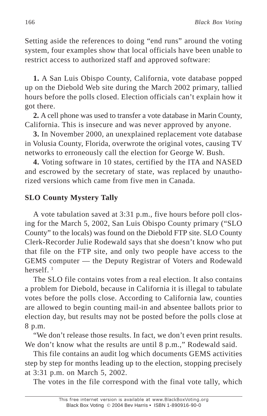Setting aside the references to doing "end runs" around the voting system, four examples show that local officials have been unable to restrict access to authorized staff and approved software:

**1.** A San Luis Obispo County, California, vote database popped up on the Diebold Web site during the March 2002 primary, tallied hours before the polls closed. Election officials can't explain how it got there.

**2.** A cell phone was used to transfer a vote database in Marin County, California. This is insecure and was never approved by anyone.

**3.** In November 2000, an unexplained replacement vote database in Volusia County, Florida, overwrote the original votes, causing TV networks to erroneously call the election for George W. Bush.

**4.** Voting software in 10 states, certified by the ITA and NASED and escrowed by the secretary of state, was replaced by unauthorized versions which came from five men in Canada.

### **SLO County Mystery Tally**

A vote tabulation saved at 3:31 p.m., five hours before poll closing for the March 5, 2002, San Luis Obispo County primary ("SLO County" to the locals) was found on the Diebold FTP site. SLO County Clerk-Recorder Julie Rodewald says that she doesn't know who put that file on the FTP site, and only two people have access to the GEMS computer — the Deputy Registrar of Voters and Rodewald herself<sup>1</sup>

The SLO file contains votes from a real election. It also contains a problem for Diebold, because in California it is illegal to tabulate votes before the polls close. According to California law, counties are allowed to begin counting mail-in and absentee ballots prior to election day, but results may not be posted before the polls close at 8 p.m.

"We don't release those results. In fact, we don't even print results. We don't know what the results are until 8 p.m.," Rodewald said.

This file contains an audit log which documents GEMS activities step by step for months leading up to the election, stopping precisely at 3:31 p.m. on March 5, 2002.

The votes in the file correspond with the final vote tally, which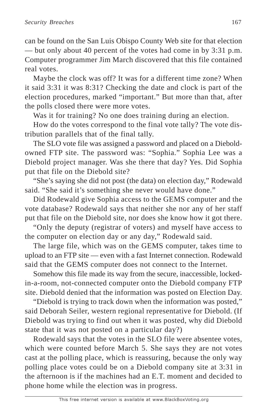can be found on the San Luis Obispo County Web site for that election — but only about 40 percent of the votes had come in by 3:31 p.m. Computer programmer Jim March discovered that this file contained real votes.

Maybe the clock was off? It was for a different time zone? When it said 3:31 it was 8:31? Checking the date and clock is part of the election procedures, marked "important." But more than that, after the polls closed there were more votes.

Was it for training? No one does training during an election.

How do the votes correspond to the final vote tally? The vote distribution parallels that of the final tally.

The SLO vote file was assigned a password and placed on a Dieboldowned FTP site. The password was: "Sophia." Sophia Lee was a Diebold project manager. Was she there that day? Yes. Did Sophia put that file on the Diebold site?

"She's saying she did not post (the data) on election day," Rodewald said. "She said it's something she never would have done."

Did Rodewald give Sophia access to the GEMS computer and the vote database? Rodewald says that neither she nor any of her staff put that file on the Diebold site, nor does she know how it got there.

"Only the deputy (registrar of voters) and myself have access to the computer on election day or any day," Rodewald said.

The large file, which was on the GEMS computer, takes time to upload to an FTP site — even with a fast Internet connection. Rodewald said that the GEMS computer does not connect to the Internet.

Somehow this file made its way from the secure, inaccessible, lockedin-a-room, not-connected computer onto the Diebold company FTP site. Diebold denied that the information was posted on Election Day.

"Diebold is trying to track down when the information was posted," said Deborah Seiler, western regional representative for Diebold. (If Diebold was trying to find out when it was posted, why did Diebold state that it was not posted on a particular day?)

Rodewald says that the votes in the SLO file were absentee votes, which were counted before March 5. She says they are not votes cast at the polling place, which is reassuring, because the only way polling place votes could be on a Diebold company site at 3:31 in the afternoon is if the machines had an E.T. moment and decided to phone home while the election was in progress.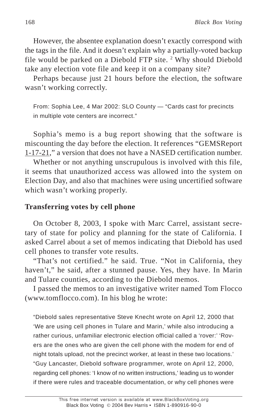However, the absentee explanation doesn't exactly correspond with the tags in the file. And it doesn't explain why a partially-voted backup file would be parked on a Diebold FTP site.<sup>2</sup> Why should Diebold take any election vote file and keep it on a company site?

Perhaps because just 21 hours before the election, the software wasn't working correctly.

From: Sophia Lee, 4 Mar 2002: SLO County — "Cards cast for precincts in multiple vote centers are incorrect."

Sophia's memo is a bug report showing that the software is miscounting the day before the election. It references "GEMSReport 1-17-21," a version that does not have a NASED certification number.

Whether or not anything unscrupulous is involved with this file, it seems that unauthorized access was allowed into the system on Election Day, and also that machines were using uncertified software which wasn't working properly.

#### **Transferring votes by cell phone**

On October 8, 2003, I spoke with Marc Carrel, assistant secretary of state for policy and planning for the state of California. I asked Carrel about a set of memos indicating that Diebold has used cell phones to transfer vote results.

"That's not certified." he said. True. "Not in California, they haven't," he said, after a stunned pause. Yes, they have. In Marin and Tulare counties, according to the Diebold memos.

I passed the memos to an investigative writer named Tom Flocco (www.tomflocco.com). In his blog he wrote:

"Diebold sales representative Steve Knecht wrote on April 12, 2000 that 'We are using cell phones in Tulare and Marin,' while also introducing a rather curious, unfamiliar electronic election official called a 'rover:' 'Rovers are the ones who are given the cell phone with the modem for end of night totals upload, not the precinct worker, at least in these two locations.' "Guy Lancaster, Diebold software programmer, wrote on April 12, 2000, regarding cell phones: 'I know of no written instructions,' leading us to wonder if there were rules and traceable documentation, or why cell phones were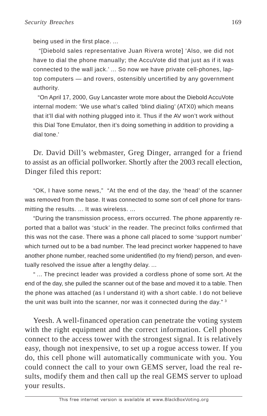being used in the first place. ...

 "[Diebold sales representative Juan Rivera wrote] 'Also, we did not have to dial the phone manually; the AccuVote did that just as if it was connected to the wall jack.' ... So now we have private cell-phones, laptop computers — and rovers, ostensibly uncertified by any government authority.

 "On April 17, 2000, Guy Lancaster wrote more about the Diebold AccuVote internal modem: 'We use what's called 'blind dialing' (ATX0) which means that it'll dial with nothing plugged into it. Thus if the AV won't work without this Dial Tone Emulator, then it's doing something in addition to providing a dial tone.'

Dr. David Dill's webmaster, Greg Dinger, arranged for a friend to assist as an official pollworker. Shortly after the 2003 recall election, Dinger filed this report:

"OK, I have some news," "At the end of the day, the 'head' of the scanner was removed from the base. It was connected to some sort of cell phone for transmitting the results. ... It was wireless. ...

"During the transmission process, errors occurred. The phone apparently reported that a ballot was 'stuck' in the reader. The precinct folks confirmed that this was not the case. There was a phone call placed to some 'support number' which turned out to be a bad number. The lead precinct worker happened to have another phone number, reached some unidentified (to my friend) person, and eventually resolved the issue after a lengthy delay. ...

" ... The precinct leader was provided a cordless phone of some sort. At the end of the day, she pulled the scanner out of the base and moved it to a table. Then the phone was attached (as I understand it) with a short cable. I do not believe the unit was built into the scanner, nor was it connected during the day." 3

Yeesh. A well-financed operation can penetrate the voting system with the right equipment and the correct information. Cell phones connect to the access tower with the strongest signal. It is relatively easy, though not inexpensive, to set up a rogue access tower. If you do, this cell phone will automatically communicate with you. You could connect the call to your own GEMS server, load the real results, modify them and then call up the real GEMS server to upload your results.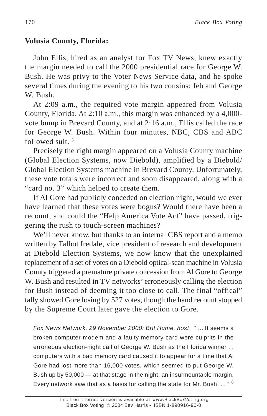#### **Volusia County, Florida:**

John Ellis, hired as an analyst for Fox TV News, knew exactly the margin needed to call the 2000 presidential race for George W. Bush. He was privy to the Voter News Service data, and he spoke several times during the evening to his two cousins: Jeb and George W. Bush.

At 2:09 a.m., the required vote margin appeared from Volusia County, Florida. At 2:10 a.m., this margin was enhanced by a 4,000 vote bump in Brevard County, and at 2:16 a.m., Ellis called the race for George W. Bush. Within four minutes, NBC, CBS and ABC followed suit.<sup> $5$ </sup>

Precisely the right margin appeared on a Volusia County machine (Global Election Systems, now Diebold), amplified by a Diebold/ Global Election Systems machine in Brevard County. Unfortunately, these vote totals were incorrect and soon disappeared, along with a "card no. 3" which helped to create them.

If Al Gore had publicly conceded on election night, would we ever have learned that these votes were bogus? Would there have been a recount, and could the "Help America Vote Act" have passed, triggering the rush to touch-screen machines?

We'll never know, but thanks to an internal CBS report and a memo written by Talbot Iredale, vice president of research and development at Diebold Election Systems, we now know that the unexplained replacement of a set of votes on a Diebold optical-scan machine in Volusia County triggered a premature private concession from Al Gore to George W. Bush and resulted in TV networks' erroneously calling the election for Bush instead of deeming it too close to call. The final "offical" tally showed Gore losing by 527 votes, though the hand recount stopped by the Supreme Court later gave the election to Gore.

Fox News Network, 29 November 2000: Brit Hume, host: " ... It seems a broken computer modem and a faulty memory card were culprits in the erroneous election-night call of George W. Bush as the Florida winner ... computers with a bad memory card caused it to appear for a time that Al Gore had lost more than 16,000 votes, which seemed to put George W. Bush up by 50,000 — at that stage in the night, an insurmountable margin. Every network saw that as a basis for calling the state for Mr. Bush.  $\ldots$  "  $^6$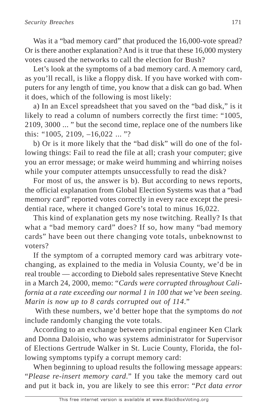Was it a "bad memory card" that produced the 16,000-vote spread? Or is there another explanation? And is it true that these 16,000 mystery votes caused the networks to call the election for Bush?

Let's look at the symptoms of a bad memory card. A memory card, as you'll recall, is like a floppy disk. If you have worked with computers for any length of time, you know that a disk can go bad. When it does, which of the following is most likely:

a) In an Excel spreadsheet that you saved on the "bad disk," is it likely to read a column of numbers correctly the first time: "1005, 2109, 3000 ... " but the second time, replace one of the numbers like this: "1005, 2109, –16,022 ... "?

b) Or is it more likely that the "bad disk" will do one of the following things: Fail to read the file at all; crash your computer; give you an error message; or make weird humming and whirring noises while your computer attempts unsuccessfully to read the disk?

For most of us, the answer is b). But according to news reports, the official explanation from Global Election Systems was that a "bad memory card" reported votes correctly in every race except the presidential race, where it changed Gore's total to minus 16,022.

This kind of explanation gets my nose twitching. Really? Is that what a "bad memory card" does? If so, how many "bad memory cards" have been out there changing vote totals, unbeknownst to voters?

If the symptom of a corrupted memory card was arbitrary votechanging, as explained to the media in Volusia County, we'd be in real trouble — according to Diebold sales representative Steve Knecht in a March 24, 2000, memo: "*Cards were corrupted throughout California at a rate exceeding our normal 1 in 100 that we've been seeing. Marin is now up to 8 cards corrupted out of 114*."

 With these numbers, we'd better hope that the symptoms do *not* include randomly changing the vote totals.

According to an exchange between principal engineer Ken Clark and Donna Daloisio, who was systems administrator for Supervisor of Elections Gertrude Walker in St. Lucie County, Florida, the following symptoms typify a corrupt memory card:

When beginning to upload results the following message appears: "*Please re-insert memory card*." If you take the memory card out and put it back in, you are likely to see this error: "*Pct data error*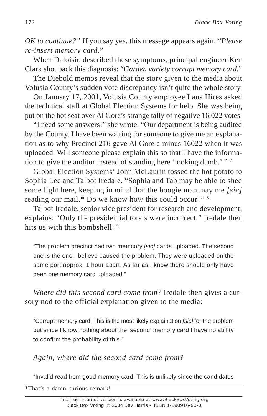*OK to continue?"* If you say yes, this message appears again: "*Please re-insert memory card*."

When Daloisio described these symptoms, principal engineer Ken Clark shot back this diagnosis: "*Garden variety corrupt memory card*."

The Diebold memos reveal that the story given to the media about Volusia County's sudden vote discrepancy isn't quite the whole story.

On January 17, 2001, Volusia County employee Lana Hires asked the technical staff at Global Election Systems for help. She was being put on the hot seat over Al Gore's strange tally of negative 16,022 votes.

"I need some answers!" she wrote. "Our department is being audited by the County. I have been waiting for someone to give me an explanation as to why Precinct 216 gave Al Gore a minus 16022 when it was uploaded. Will someone please explain this so that I have the information to give the auditor instead of standing here 'looking dumb.' "<sup>7</sup>

Global Election Systems' John McLaurin tossed the hot potato to Sophia Lee and Talbot Iredale. "Sophia and Tab may be able to shed some light here, keeping in mind that the boogie man may me *[sic]* reading our mail.\* Do we know how this could occur?" 8

Talbot Iredale, senior vice president for research and development, explains: "Only the presidential totals were incorrect." Iredale then hits us with this bombshell: 9

"The problem precinct had two memcory [sic] cards uploaded. The second one is the one I believe caused the problem. They were uploaded on the same port approx. 1 hour apart. As far as I know there should only have been one memory card uploaded."

*Where did this second card come from?* Iredale then gives a cursory nod to the official explanation given to the media:

"Corrupt memory card. This is the most likely explaination [sic] for the problem but since I know nothing about the 'second' memory card I have no ability to confirm the probability of this."

#### *Again, where did the second card come from?*

"Invalid read from good memory card. This is unlikely since the candidates

\*That's a damn curious remark!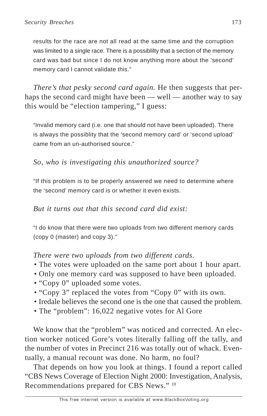results for the race are not all read at the same time and the corruption was limited to a single race. There is a possiblilty that a section of the memory card was bad but since I do not know anything more about the 'second' memory card I cannot validate this."

*There's that pesky second card again.* He then suggests that perhaps the second card might have been — well — another way to say this would be "election tampering," I guess:

"Invalid memory card (i.e. one that should not have been uploaded). There is always the possiblity that the 'second memory card' or 'second upload' came from an un-authorised source."

## *So, who is investigating this unauthorized source?*

"If this problem is to be properly answered we need to determine where the 'second' memory card is or whether it even exists.

#### *But it turns out that this second card did exist:*

"I do know that there were two uploads from two different memory cards (copy 0 (master) and copy 3)."

#### *There were two uploads from two different cards.*

- The votes were uploaded on the same port about 1 hour apart.
- Only one memory card was supposed to have been uploaded.
- "Copy 0" uploaded some votes.
- "Copy 3" replaced the votes from "Copy 0" with its own.
- Iredale believes the second one is the one that caused the problem.
- The "problem": 16,022 negative votes for Al Gore

We know that the "problem" was noticed and corrected. An election worker noticed Gore's votes literally falling off the tally, and the number of votes in Precinct 216 was totally out of whack. Eventually, a manual recount was done. No harm, no foul?

That depends on how you look at things. I found a report called "CBS News Coverage of Election Night 2000: Investigation, Analysis, Recommendations prepared for CBS News." 10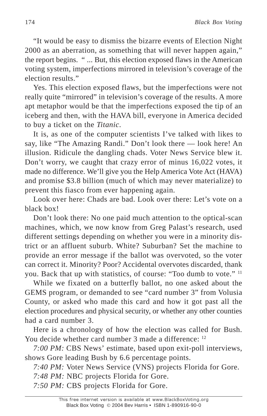"It would be easy to dismiss the bizarre events of Election Night 2000 as an aberration, as something that will never happen again," the report begins. " ... But, this election exposed flaws in the American voting system, imperfections mirrored in television's coverage of the election results."

Yes. This election exposed flaws, but the imperfections were not really quite "mirrored" in television's coverage of the results. A more apt metaphor would be that the imperfections exposed the tip of an iceberg and then, with the HAVA bill, everyone in America decided to buy a ticket on the *Titanic*.

It is, as one of the computer scientists I've talked with likes to say, like "The Amazing Randi." Don't look there — look here! An illusion. Ridicule the dangling chads. Voter News Service blew it. Don't worry, we caught that crazy error of minus 16,022 votes, it made no difference. We'll give you the Help America Vote Act (HAVA) and promise \$3.8 billion (much of which may never materialize) to prevent this fiasco from ever happening again.

Look over here: Chads are bad. Look over there: Let's vote on a black box!

Don't look there: No one paid much attention to the optical-scan machines, which, we now know from Greg Palast's research, used different settings depending on whether you were in a minority district or an affluent suburb. White? Suburban? Set the machine to provide an error message if the ballot was overvoted, so the voter can correct it. Minority? Poor? Accidental overvotes discarded, thank you. Back that up with statistics, of course: "Too dumb to vote." 11

While we fixated on a butterfly ballot, no one asked about the GEMS program, or demanded to see "card number 3" from Volusia County, or asked who made this card and how it got past all the election procedures and physical security, or whether any other counties had a card number 3.

Here is a chronology of how the election was called for Bush. You decide whether card number 3 made a difference: <sup>12</sup>

*7:00 PM:* CBS News' estimate, based upon exit-poll interviews, shows Gore leading Bush by 6.6 percentage points.

*7:40 PM:* Voter News Service (VNS) projects Florida for Gore.

*7:48 PM:* NBC projects Florida for Gore.

*7:50 PM:* CBS projects Florida for Gore.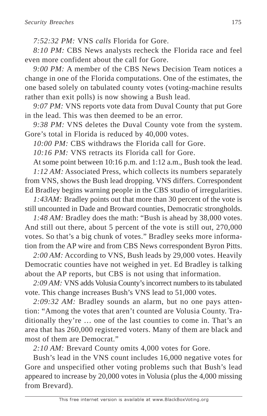*7:52:32 PM:* VNS *calls* Florida for Gore.

*8:10 PM:* CBS News analysts recheck the Florida race and feel even more confident about the call for Gore.

*9:00 PM:* A member of the CBS News Decision Team notices a change in one of the Florida computations. One of the estimates, the one based solely on tabulated county votes (voting-machine results rather than exit polls) is now showing a Bush lead.

*9:07 PM:* VNS reports vote data from Duval County that put Gore in the lead. This was then deemed to be an error.

*9:38 PM:* VNS deletes the Duval County vote from the system. Gore's total in Florida is reduced by 40,000 votes.

*10:00 PM:* CBS withdraws the Florida call for Gore.

*10:16 PM:* VNS retracts its Florida call for Gore.

At some point between 10:16 p.m. and 1:12 a.m., Bush took the lead. *1:12 AM:* Associated Press, which collects its numbers separately from VNS, shows the Bush lead dropping. VNS differs. Correspondent Ed Bradley begins warning people in the CBS studio of irregularities.

*1:43AM:* Bradley points out that more than 30 percent of the vote is still uncounted in Dade and Broward counties, Democratic strongholds.

*1:48 AM:* Bradley does the math: "Bush is ahead by 38,000 votes. And still out there, about 5 percent of the vote is still out, 270,000 votes. So that's a big chunk of votes." Bradley seeks more information from the AP wire and from CBS News correspondent Byron Pitts.

*2:00 AM:* According to VNS, Bush leads by 29,000 votes. Heavily Democratic counties have not weighed in yet. Ed Bradley is talking about the AP reports, but CBS is not using that information.

*2:09 AM:* VNS adds Volusia County's incorrect numbers to its tabulated vote. This change increases Bush's VNS lead to 51,000 votes.

*2:09:32 AM:* Bradley sounds an alarm, but no one pays attention: "Among the votes that aren't counted are Volusia County. Traditionally they're … one of the last counties to come in. That's an area that has 260,000 registered voters. Many of them are black and most of them are Democrat."

*2:10 AM:* Brevard County omits 4,000 votes for Gore.

Bush's lead in the VNS count includes 16,000 negative votes for Gore and unspecified other voting problems such that Bush's lead appeared to increase by 20,000 votes in Volusia (plus the 4,000 missing from Brevard).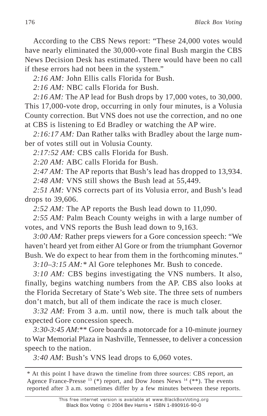According to the CBS News report: "These 24,000 votes would have nearly eliminated the 30,000-vote final Bush margin the CBS News Decision Desk has estimated. There would have been no call if these errors had not been in the system."

*2:16 AM:* John Ellis calls Florida for Bush.

*2:16 AM:* NBC calls Florida for Bush.

*2:16 AM:* The AP lead for Bush drops by 17,000 votes, to 30,000. This 17,000-vote drop, occurring in only four minutes, is a Volusia County correction. But VNS does not use the correction, and no one at CBS is listening to Ed Bradley or watching the AP wire.

*2:16:17 AM:* Dan Rather talks with Bradley about the large number of votes still out in Volusia County.

*2:17:52 AM:* CBS calls Florida for Bush.

*2:20 AM:* ABC calls Florida for Bush.

*2:47 AM:* The AP reports that Bush's lead has dropped to 13,934.

*2:48 AM:* VNS still shows the Bush lead at 55,449.

*2:51 AM:* VNS corrects part of its Volusia error, and Bush's lead drops to 39,606.

*2:52 AM:* The AP reports the Bush lead down to 11,090.

*2:55 AM:* Palm Beach County weighs in with a large number of votes, and VNS reports the Bush lead down to 9,163.

*3:00 AM:* Rather preps viewers for a Gore concession speech: "We haven't heard yet from either Al Gore or from the triumphant Governor Bush. We do expect to hear from them in the forthcoming minutes."

*3:10–3:15 AM:\** Al Gore telephones Mr. Bush to concede.

*3:10 AM:* CBS begins investigating the VNS numbers. It also, finally, begins watching numbers from the AP. CBS also looks at the Florida Secretary of State's Web site. The three sets of numbers don't match, but all of them indicate the race is much closer.

*3:32 AM*: From 3 a.m. until now, there is much talk about the expected Gore concession speech.

*3:30-3:45 AM*:\*\* Gore boards a motorcade for a 10-minute journey to War Memorial Plaza in Nashville, Tennessee, to deliver a concession speech to the nation.

*3:40 AM*: Bush's VNS lead drops to 6,060 votes.

<sup>\*</sup> At this point I have drawn the timeline from three sources: CBS report, an Agence France-Presse  $^{13}$  (\*) report, and Dow Jones News  $^{14}$  (\*\*). The events reported after 3 a.m. sometimes differ by a few minutes between these reports.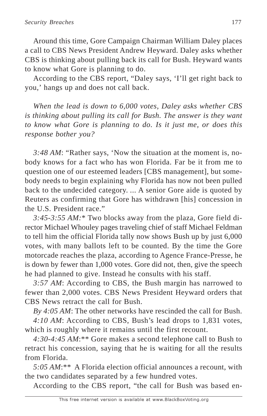Around this time, Gore Campaign Chairman William Daley places a call to CBS News President Andrew Heyward. Daley asks whether CBS is thinking about pulling back its call for Bush. Heyward wants to know what Gore is planning to do.

According to the CBS report, "Daley says, 'I'll get right back to you,' hangs up and does not call back.

*When the lead is down to 6,000 votes, Daley asks whether CBS is thinking about pulling its call for Bush. The answer is they want to know what Gore is planning to do. Is it just me, or does this response bother you?*

*3:48 AM*: "Rather says, 'Now the situation at the moment is, nobody knows for a fact who has won Florida. Far be it from me to question one of our esteemed leaders [CBS management], but somebody needs to begin explaining why Florida has now not been pulled back to the undecided category. ... A senior Gore aide is quoted by Reuters as confirming that Gore has withdrawn [his] concession in the U.S. President race."

*3:45-3:55 AM:*\* Two blocks away from the plaza, Gore field director Michael Whouley pages traveling chief of staff Michael Feldman to tell him the official Florida tally now shows Bush up by just 6,000 votes, with many ballots left to be counted. By the time the Gore motorcade reaches the plaza, according to Agence France-Presse, he is down by fewer than 1,000 votes. Gore did not, then, give the speech he had planned to give. Instead he consults with his staff.

*3:57 AM*: According to CBS, the Bush margin has narrowed to fewer than 2,000 votes. CBS News President Heyward orders that CBS News retract the call for Bush.

*By 4:05 AM*: The other networks have rescinded the call for Bush.

*4:10 AM*: According to CBS, Bush's lead drops to 1,831 votes, which is roughly where it remains until the first recount.

*4:30-4:45 AM*:\*\* Gore makes a second telephone call to Bush to retract his concession, saying that he is waiting for all the results from Florida.

*5:05 AM*:\*\* A Florida election official announces a recount, with the two candidates separated by a few hundred votes.

According to the CBS report, "the call for Bush was based en-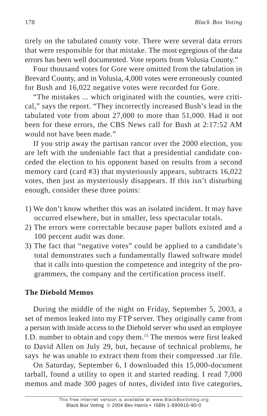tirely on the tabulated county vote. There were several data errors that were responsible for that mistake. The most egregious of the data errors has been well documented. Vote reports from Volusia County."

Four thousand votes for Gore were omitted from the tabulation in Brevard County, and in Volusia, 4,000 votes were erroneously counted for Bush and 16,022 negative votes were recorded for Gore.

"The mistakes ... which originated with the counties, were critical," says the report. "They incorrectly increased Bush's lead in the tabulated vote from about 27,000 to more than 51,000. Had it not been for these errors, the CBS News call for Bush at 2:17:52 AM would not have been made."

If you strip away the partisan rancor over the 2000 election, you are left with the undeniable fact that a presidential candidate conceded the election to his opponent based on results from a second memory card (card #3) that mysteriously appears, subtracts 16,022 votes, then just as mysteriously disappears. If this isn't disturbing enough, consider these three points:

- 1) We don't know whether this was an isolated incident. It may have occurred elsewhere, but in smaller, less spectacular totals.
- 2) The errors were correctable because paper ballots existed and a 100 percent audit was done.
- 3) The fact that "negative votes" could be applied to a candidate's total demonstrates such a fundamentally flawed software model that it calls into question the competence and integrity of the programmers, the company and the certification process itself.

## **The Diebold Memos**

During the middle of the night on Friday, September 5, 2003, a set of memos leaked into my FTP server. They originally came from a person with inside access to the Diebold server who used an employee I.D. number to obtain and copy them.15 The memos were first leaked to David Allen on July 29, but, because of technical problems, he says he was unable to extract them from their compressed .tar file.

On Saturday, September 6, I downloaded this 15,000-document tarball, found a utility to open it and started reading. I read 7,000 memos and made 300 pages of notes, divided into five categories,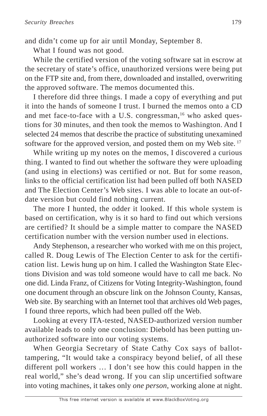and didn't come up for air until Monday, September 8.

What I found was not good.

While the certified version of the voting software sat in escrow at the secretary of state's office, unauthorized versions were being put on the FTP site and, from there, downloaded and installed, overwriting the approved software. The memos documented this.

I therefore did three things. I made a copy of everything and put it into the hands of someone I trust. I burned the memos onto a CD and met face-to-face with a U.S. congressman,<sup>16</sup> who asked questions for 30 minutes, and then took the memos to Washington. And I selected 24 memos that describe the practice of substituting unexamined software for the approved version, and posted them on my Web site.<sup>17</sup>

While writing up my notes on the memos, I discovered a curious thing. I wanted to find out whether the software they were uploading (and using in elections) was certified or not. But for some reason, links to the official certification list had been pulled off both NASED and The Election Center's Web sites. I was able to locate an out-ofdate version but could find nothing current.

The more I hunted, the odder it looked. If this whole system is based on certification, why is it so hard to find out which versions are certified? It should be a simple matter to compare the NASED certification number with the version number used in elections.

Andy Stephenson, a researcher who worked with me on this project, called R. Doug Lewis of The Election Center to ask for the certification list. Lewis hung up on him. I called the Washington State Elections Division and was told someone would have to call me back. No one did. Linda Franz, of Citizens for Voting Integrity-Washington, found one document through an obscure link on the Johnson County, Kansas, Web site. By searching with an Internet tool that archives old Web pages, I found three reports, which had been pulled off the Web.

Looking at every ITA-tested, NASED-authorized version number available leads to only one conclusion: Diebold has been putting unauthorized software into our voting systems.

When Georgia Secretary of State Cathy Cox says of ballottampering, "It would take a conspiracy beyond belief, of all these different poll workers … I don't see how this could happen in the real world," she's dead wrong. If you can slip uncertified software into voting machines, it takes only *one person*, working alone at night.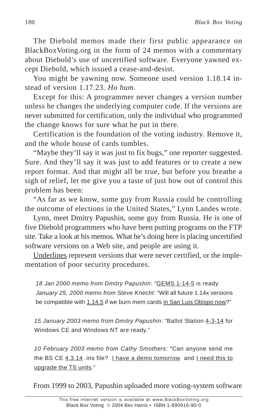The Diebold memos made their first public appearance on BlackBoxVoting.org in the form of 24 memos with a commentary about Diebold's use of uncertified software. Everyone yawned except Diebold, which issued a cease-and-desist.

You might be yawning now. Someone used version 1.18.14 instead of version 1.17.23. *Ho hum*.

Except for this: A programmer never changes a version number unless he changes the underlying computer code. If the versions are never submitted for certification, only the individual who programmed the change knows for sure what he put in there.

Certification is the foundation of the voting industry. Remove it, and the whole house of cards tumbles.

"Maybe they'll say it was just to fix bugs," one reporter suggested. Sure. And they'll say it was just to add features or to create a new report format. And that might all be true, but before you breathe a sigh of relief, let me give you a taste of just how out of control this problem has been:

"As far as we know, some guy from Russia could be controlling the outcome of elections in the United States," Lynn Landes wrote.

Lynn, meet Dmitry Papushin, some guy from Russia. He is one of five Diebold programmers who have been putting programs on the FTP site. Take a look at his memos. What he's doing here is placing uncertified software versions on a Web site, and people are using it.

Underlines represent versions that were never certified, or the implementation of poor security procedures.

18 Jan 2000 memo from Dmitry Papushin: "GEMS 1-14-5 is ready. January 25, 2000 memo from Steve Knecht: "Will all future 1.14x versions be compatible with 1.14.5 if we burn mem cards in San Luis Obispo now?"

15 January 2003 memo from Dmitry Papushin: "Ballot Station 4-3-14 for Windows CE and Windows NT are ready."

10 February 2003 memo from Cathy Smothers: "Can anyone send me the BS CE 4.3.14 .ins file? I have a demo tomorrow and I need this to upgrade the TS units."

From 1999 to 2003, Papushin uploaded more voting-system software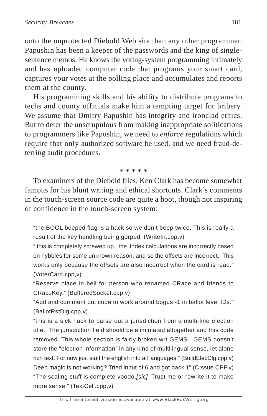onto the unprotected Diebold Web site than any other programmer. Papushin has been a keeper of the passwords and the king of singlesentence memos. He knows the voting-system programming intimately and has uploaded computer code that programs your smart card, captures your votes at the polling place and accumulates and reports them at the county.

His programming skills and his ability to distribute programs to techs and county officials make him a tempting target for bribery. We assume that Dmitry Papushin has integrity and ironclad ethics. But to deter the unscrupulous from making inappropriate solitications to programmers like Papushin, we need to *enforce* regulations which require that only authorized software be used, and we need fraud-deterring audit procedures.

\* \* \* \* \*

To examiners of the Diebold files, Ken Clark has become somewhat famous for his blunt writing and ethical shortcuts. Clark's comments in the touch-screen source code are quite a hoot, though not inspiring of confidence in the touch-screen system:

"the BOOL beeped flag is a hack so we don't beep twice. This is really a result of the key handling being gorped. (WriteIn.cpp,v)

" this is completely screwed up. the iIndex calculations are incorrectly based on nybbles for some unknown reason, and so the offsets are incorrect. This works only because the offsets are also incorrect when the card is read." (VoterCard.cpp,v)

"Reserve place in hell for person who renamed CRace and friends to CRaceKey." (BufferedSocket.cpp,v)

"Add and comment out code to work around bogus -1 in ballot level IDs." (BallotRstDlg.cpp,v)

"this is a sick hack to parse out a jurisdiction from a multi-line election title. The jurisdiction field should be eliminiated altogether and this code removed. This whole section is fairly broken wrt GEMS. GEMS doesn't store the "election information" in any kind of multilingual sense, let alone rich text. For now just stuff the english into all languages." (BuildElecDlg.cpp,v) Deep magic is not working? Tried input of 6 and got back 1" (CIssue.CPP,v) "The scaling stuff is complete voodo.[sic] Trust me or rewrite it to make more sense." (TextCell.cpp,v)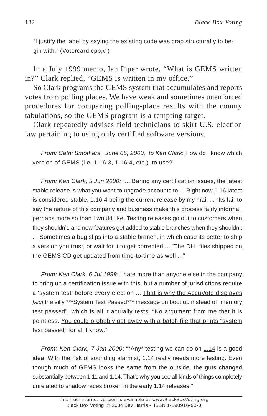"I justify the label by saying the existing code was crap structurally to begin with." (Votercard.cpp,v )

In a July 1999 memo, Ian Piper wrote, "What is GEMS written in?" Clark replied, "GEMS is written in my office."

So Clark programs the GEMS system that accumulates and reports votes from polling places. We have weak and sometimes unenforced procedures for comparing polling-place results with the county tabulations, so the GEMS program is a tempting target.

Clark repeatedly advises field technicians to skirt U.S. election law pertaining to using only certified software versions.

From: Cathi Smothers, June 05, 2000, to Ken Clark: How do I know which version of GEMS (i.e. 1.16.3, 1.16.4, etc.) to use?"

From: Ken Clark, 5 Jun 2000: "... Baring any certification issues, the latest stable release is what you want to upgrade accounts to ... Right now 1.16.latest is considered stable, 1.16.4 being the current release by my mail ... "Its fair to say the nature of this company and business make this process fairly informal, perhaps more so than I would like. Testing releases go out to customers when they shouldn't, and new features get added to stable branches when they shouldn't ... Sometimes a bug slips into a stable branch, in which case its better to ship a version you trust, or wait for it to get corrected ... "The DLL files shipped on the GEMS CD get updated from time-to-time as well ..."

From: Ken Clark, 6 Jul 1999: I hate more than anyone else in the company to bring up a certification issue with this, but a number of jurisdictions require a 'system test' before every election ... That is why the AccuVote displayes [sic] the silly \*\*\* System Test Passed\*\*\* message on boot up instead of "memory test passed", which is all it actually tests. "No argument from me that it is pointless. You could probably get away with a batch file that prints "system test passed" for all I know."

From: Ken Clark, 7 Jan 2000: "\*Any\* testing we can do on 1.14 is a good idea. With the risk of sounding alarmist, 1.14 really needs more testing. Even though much of GEMS looks the same from the outside, the guts changed substantially between 1.11 and 1.14. That's why you see all kinds of things completely unrelated to shadow races broken in the early 1.14 releases."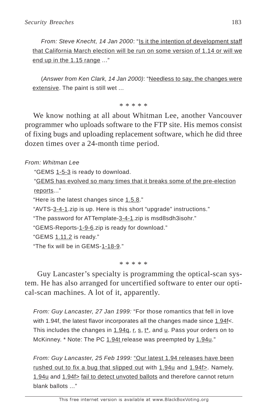From: Steve Knecht, 14 Jan 2000: "Is it the intention of development staff that California March election will be run on some version of 1.14 or will we end up in the 1.15 range ..."

(Answer from Ken Clark, 14 Jan 2000): "Needless to say, the changes were extensive. The paint is still wet ...

\* \* \* \* \*

We know nothing at all about Whitman Lee, another Vancouver programmer who uploads software to the FTP site. His memos consist of fixing bugs and uploading replacement software, which he did three dozen times over a 24-month time period.

#### From: Whitman Lee

"GEMS 1-5-3 is ready to download.

"GEMS has evolved so many times that it breaks some of the pre-election reports..."

"Here is the latest changes since 1.5.8."

"AVTS-3-4-1.zip is up. Here is this short "upgrade" instructions."

"The password for ATTemplate-3-4-1.zip is msd8sdh3isohr."

"GEMS-Reports-1-9-6.zip is ready for download."

"GEMS 1.11.2 is ready."

"The fix will be in GEMS-1-18-9."

\* \* \* \* \*

 Guy Lancaster's specialty is programming the optical-scan system. He has also arranged for uncertified software to enter our optical-scan machines. A lot of it, apparently.

From: Guy Lancaster, 27 Jan 1999: "For those romantics that fell in love with 1.94f, the latest flavor incorporates all the changes made since 1.94f<. This includes the changes in  $1.94q$ , r, s, t\*, and u. Pass your orders on to McKinney. \* Note: The PC 1.94t release was preempted by 1.94u."

From: Guy Lancaster, 25 Feb 1999: "Our latest 1.94 releases have been rushed out to fix a bug that slipped out with 1.94u and 1.94f>. Namely, 1.94u and 1.94f> fail to detect unvoted ballots and therefore cannot return blank ballots ..."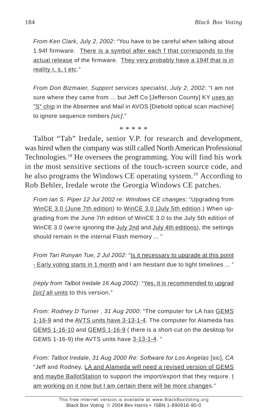From Ken Clark, July 2, 2002: "You have to be careful when talking about 1.94f firmware. There is a symbol after each f that corresponds to the actual release of the firmware. They very probably have a 194f that is in reality r, s, t etc."

From Don Bizmaier, Support services specialist, July 2, 2002: "I am not sure where they came from ... but Jeff Co [Jefferson County] KY uses an "S" chip in the Absentee and Mail in AVOS [Diebold optical scan machine] to ignore sequence nimbers [sic]."

\* \* \* \* \*

Talbot "Tab" Iredale, senior V.P. for research and development, was hired when the company was still called North American Professional Technologies.18 He oversees the programming. You will find his work in the most sensitive sections of the touch-screen source code, and he also programs the Windows CE operating system.<sup>19</sup> According to Rob Behler, Iredale wrote the Georgia Windows CE patches.

From Ian S. Piper 12 Jul 2002 re: Windows CE changes: "Upgrading from WinCE 3.0 (June 7th edition) to WinCE 3.0 (July 5th edition.) When upgrading from the June 7th edition of WinCE 3.0 to the July 5th edition of WinCE 3.0 (we're ignoring the July 2nd and July 4th editions), the settings should remain in the internal Flash memory ... "

From Tari Runyan Tue, 2 Jul 2002: "Is it necessary to upgrade at this point - Early voting starts in 1 month and I am hesitant due to tight timelines ... "

(reply from Talbot Iredale 16 Aug 2002): "Yes, it is recommended to upgrad [sic] all units to this version."

From: Rodney D Turner, 31 Aug 2000: "The computer for LA has GEMS 1-16-9 and the AVTS units have 3-13-1-4. The computer for Alameda has GEMS 1-16-10 and GEMS 1-16-9 ( there is a short-cut on the desktop for GEMS 1-16-9) the AVTS units have 3-13-1-4. "

From: Talbot Iredale, 31 Aug 2000 Re: Software for Los Angelas [sic], CA "Jeff and Rodney, LA and Alameda will need a revised version of GEMS and maybe BallotStation to support the import/export that they require. I am working on it now but I am certain there will be more changes."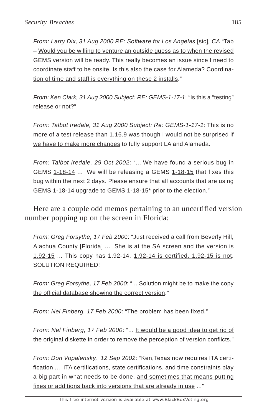From: Larry Dix, 31 Aug 2000 RE: Software for Los Angelas [sic], CA "Tab – Would you be willing to venture an outside guess as to when the revised GEMS version will be ready. This really becomes an issue since I need to coordinate staff to be onsite. Is this also the case for Alameda? Coordination of time and staff is everything on these 2 installs."

From: Ken Clark, 31 Aug 2000 Subject: RE: GEMS-1-17-1: "Is this a "testing" release or not?"

From: Talbot Iredale, 31 Aug 2000 Subject: Re: GEMS-1-17-1: This is no more of a test release than 1.16.9 was though I would not be surprised if we have to make more changes to fully support LA and Alameda.

From: Talbot Iredale, 29 Oct 2002: "... We have found a serious bug in GEMS 1-18-14 ... We will be releasing a GEMS 1-18-15 that fixes this bug within the next 2 days. Please ensure that all accounts that are using GEMS 1-18-14 upgrade to GEMS 1-18-15\* prior to the election."

Here are a couple odd memos pertaining to an uncertified version number popping up on the screen in Florida:

From: Greg Forsythe, 17 Feb 2000: "Just received a call from Beverly Hill, Alachua County [Florida] ... She is at the SA screen and the version is 1.92-15 ... This copy has 1.92-14. 1.92-14 is certified, 1.92-15 is not. SOLUTION REQUIRED!

From: Greg Forsythe, 17 Feb 2000: "... Solution might be to make the copy the official database showing the correct version."

From: Nel Finberg, 17 Feb 2000: "The problem has been fixed."

From: Nel Finberg, 17 Feb 2000: "... It would be a good idea to get rid of the original diskette in order to remove the perception of version conflicts."

From: Don Vopalensky, 12 Sep 2002: "Ken,Texas now requires ITA certification ... ITA certifications, state certifications, and time constraints play a big part in what needs to be done, and sometimes that means putting fixes or additions back into versions that are already in use ..."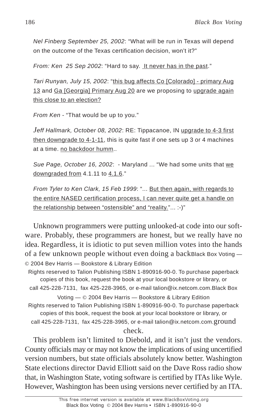Nel Finberg September 25, 2002: "What will be run in Texas will depend on the outcome of the Texas certification decision, won't it?"

From: Ken 25 Sep 2002: "Hard to say. It never has in the past."

Tari Runyan, July 15, 2002: "this bug affects Co [Colorado] - primary Aug 13 and Ga [Georgia] Primary Aug 20 are we proposing to upgrade again this close to an election?

From Ken - "That would be up to you."

*J*eff Hallmark, October 08, 2002: RE: Tippacanoe, IN upgrade to 4-3 first then downgrade to 4-1-11, this is quite fast if one sets up 3 or 4 machines at a time. no backdoor humm..

Sue Page, October 16, 2002: - Maryland ... "We had some units that we downgraded from 4.1.11 to 4.1.6."

From Tyler to Ken Clark, 15 Feb 1999: "... But then again, with regards to the entire NASED certification process, I can never quite get a handle on the relationship between "ostensible" and "reality."... :-)"

Unknown programmers were putting unlooked-at code into our software. Probably, these programmers are honest, but we really have no idea. Regardless, it is idiotic to put seven million votes into the hands of a few unknown people without even doing a backBlack Box Voting — © 2004 Bev Harris — Bookstore & Library Edition

Rights reserved to Talion Publishing ISBN 1-890916-90-0. To purchase paperback copies of this book, request the book at your local bookstore or library, or call 425-228-7131, fax 425-228-3965, or e-mail talion@ix.netcom.com.Black Box Voting — © 2004 Bev Harris — Bookstore & Library Edition Rights reserved to Talion Publishing ISBN 1-890916-90-0. To purchase paperback copies of this book, request the book at your local bookstore or library, or

call 425-228-7131, fax 425-228-3965, or e-mail talion@ix.netcom.com.ground check.

This problem isn't limited to Diebold, and it isn't just the vendors. County officials may or may not know the implications of using uncertified version numbers, but state officials absolutely know better. Washington State elections director David Elliott said on the Dave Ross radio show that, in Washington State, voting software is certified by ITAs like Wyle. However, Washington has been using versions never certified by an ITA.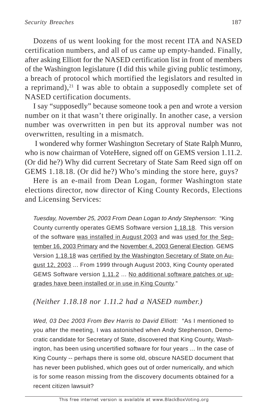Dozens of us went looking for the most recent ITA and NASED certification numbers, and all of us came up empty-handed. Finally, after asking Elliott for the NASED certification list in front of members of the Washington legislature (I did this while giving public testimony, a breach of protocol which mortified the legislators and resulted in a reprimand), $21$  I was able to obtain a supposedly complete set of NASED certification documents.

I say "supposedly" because someone took a pen and wrote a version number on it that wasn't there originally. In another case, a version number was overwritten in pen but its approval number was not overwritten, resulting in a mismatch.

 I wondered why former Washington Secretary of State Ralph Munro, who is now chairman of VoteHere, signed off on GEMS version 1.11.2. (Or did he?) Why did current Secretary of State Sam Reed sign off on GEMS 1.18.18. (Or did he?) Who's minding the store here, guys?

Here is an e-mail from Dean Logan, former Washington state elections director, now director of King County Records, Elections and Licensing Services:

Tuesday, November 25, 2003 From Dean Logan to Andy Stephenson: "King County currently operates GEMS Software version 1.18.18. This version of the software was installed in August 2003 and was used for the September 16, 2003 Primary and the November 4, 2003 General Election. GEMS Version 1.18.18 was certified by the Washington Secretary of State on August 12, 2003 ... From 1999 through August 2003, King County operated GEMS Software version 1.11.2 ... No additional software patches or upgrades have been installed or in use in King County."

## *(Neither 1.18.18 nor 1.11.2 had a NASED number.)*

Wed, 03 Dec 2003 From Bev Harris to David Elliott: "As I mentioned to you after the meeting, I was astonished when Andy Stephenson, Democratic candidate for Secretary of State, discovered that King County, Washington, has been using uncertified software for four years ... In the case of King County -- perhaps there is some old, obscure NASED document that has never been published, which goes out of order numerically, and which is for some reason missing from the discovery documents obtained for a recent citizen lawsuit?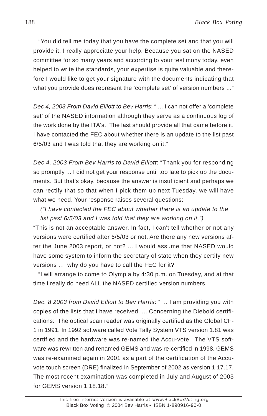"You did tell me today that you have the complete set and that you will provide it. I really appreciate your help. Because you sat on the NASED committee for so many years and according to your testimony today, even helped to write the standards, your expertise is quite valuable and therefore I would like to get your signature with the documents indicating that what you provide does represent the 'complete set' of version numbers ..."

Dec 4, 2003 From David Elliott to Bev Harris: " ... I can not offer a 'complete set' of the NASED information although they serve as a continuous log of the work done by the ITA's. The last should provide all that came before it. I have contacted the FEC about whether there is an update to the list past 6/5/03 and I was told that they are working on it."

Dec 4, 2003 From Bev Harris to David Elliott: "Thank you for responding so promptly ... I did not get your response until too late to pick up the documents. But that's okay, because the answer is insufficient and perhaps we can rectify that so that when I pick them up next Tuesday, we will have what we need. Your response raises several questions:

("I have contacted the FEC about whether there is an update to the list past 6/5/03 and I was told that they are working on it.")

"This is not an acceptable answer. In fact, I can't tell whether or not any versions were certified after 6/5/03 or not. Are there any new versions after the June 2003 report, or not? ... I would assume that NASED would have some system to inform the secretary of state when they certify new versions ... why do you have to call the FEC for it?

 "I will arrange to come to Olympia by 4:30 p.m. on Tuesday, and at that time I really do need ALL the NASED certified version numbers.

Dec. 8 2003 from David Elliott to Bev Harris: " ... I am providing you with copies of the lists that I have received. ... Concerning the Diebold certifications: The optical scan reader was originally certified as the Global CF-1 in 1991. In 1992 software called Vote Tally System VTS version 1.81 was certified and the hardware was re-named the Accu-vote. The VTS software was rewritten and renamed GEMS and was re-certified in 1998. GEMS was re-examined again in 2001 as a part of the certification of the Accuvote touch screen (DRE) finalized in September of 2002 as version 1.17.17. The most recent examination was completed in July and August of 2003 for GEMS version 1.18.18."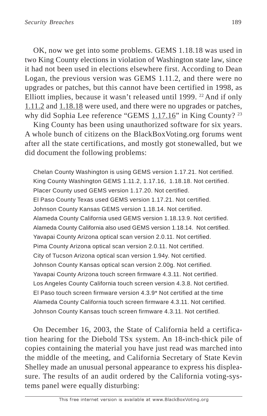OK, now we get into some problems. GEMS 1.18.18 was used in two King County elections in violation of Washington state law, since it had not been used in elections elsewhere first. According to Dean Logan, the previous version was GEMS 1.11.2, and there were no upgrades or patches, but this cannot have been certified in 1998, as Elliott implies, because it wasn't released until 1999. <sup>22</sup> And if only 1.11.2 and 1.18.18 were used, and there were no upgrades or patches, why did Sophia Lee reference "GEMS 1.17.16" in King County?<sup>23</sup>

King County has been using unauthorized software for six years. A whole bunch of citizens on the BlackBoxVoting.org forums went after all the state certifications, and mostly got stonewalled, but we did document the following problems:

Chelan County Washington is using GEMS version 1.17.21. Not certified. King County Washington GEMS 1.11.2, 1.17.16, 1.18.18. Not certified. Placer County used GEMS version 1.17.20. Not certified. El Paso County Texas used GEMS version 1.17.21. Not certified. Johnson County Kansas GEMS version 1.18.14. Not certified. Alameda County California used GEMS version 1.18.13.9. Not certified. Alameda County California also used GEMS version 1.18.14. Not certified. Yavapai County Arizona optical scan version 2.0.11. Not certified. Pima County Arizona optical scan version 2.0.11. Not certified. City of Tucson Arizona optical scan version 1.94y. Not certified. Johnson County Kansas optical scan version 2.00g. Not certified. Yavapai County Arizona touch screen firmware 4.3.11. Not certified. Los Angeles County California touch screen version 4.3.8. Not certified. El Paso touch screen firmware version 4.3.9\* Not certified at the time Alameda County California touch screen firmware 4.3.11. Not certified. Johnson County Kansas touch screen firmware 4.3.11. Not certified.

On December 16, 2003, the State of California held a certification hearing for the Diebold TSx system. An 18-inch-thick pile of copies containing the material you have just read was marched into the middle of the meeting, and California Secretary of State Kevin Shelley made an unusual personal appearance to express his displeasure. The results of an audit ordered by the California voting-systems panel were equally disturbing: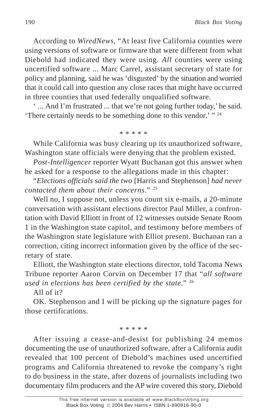According to *WiredNews*, "At least five California counties were using versions of software or firmware that were different from what Diebold had indicated they were using. *All* counties were using uncertified software ... Marc Carrel, assistant secretary of state for policy and planning, said he was 'disgusted' by the situation and worried that it could call into question any close races that might have occurred in three counties that used federally unqualified software.

' ... And I'm frustrated ... that we're not going further today,' he said. 'There certainly needs to be something done to this vendor.' " 24

\* \* \* \* \*

While California was busy clearing up its unauthorized software, Washington state officials were denying that the problem existed.

*Post-Intelligencer* reporter Wyatt Buchanan got this answer when he asked for a response to the allegations made in this chapter:

"*Elections officials said the two* [Harris and Stephenson] *had never contacted them about their concerns*." 25

Well no, I suppose not, unless you count six e-mails, a 20-minute conversation with assistant elections director Paul Miller, a confrontation with David Elliott in front of 12 witnesses outside Senate Room 1 in the Washington state capitol, and testimony before members of the Washington state legislature with Elliot present. Buchanan ran a correction, citing incorrect information given by the office of the secretary of state.

Elliott, the Washington state elections director, told Tacoma News Tribune reporter Aaron Corvin on December 17 that "*all software used in elections has been certified by the state*." 26

All of it?

OK. Stephenson and I will be picking up the signature pages for those certifications.

\* \* \* \* \*

After issuing a cease-and-desist for publishing 24 memos documenting the use of unauthorized software, after a California audit revealed that 100 percent of Diebold's machines used uncertified programs and California threatened to revoke the company's right to do business in the state, after dozens of journalists including two documentary film producers and the AP wire covered this story, Diebold